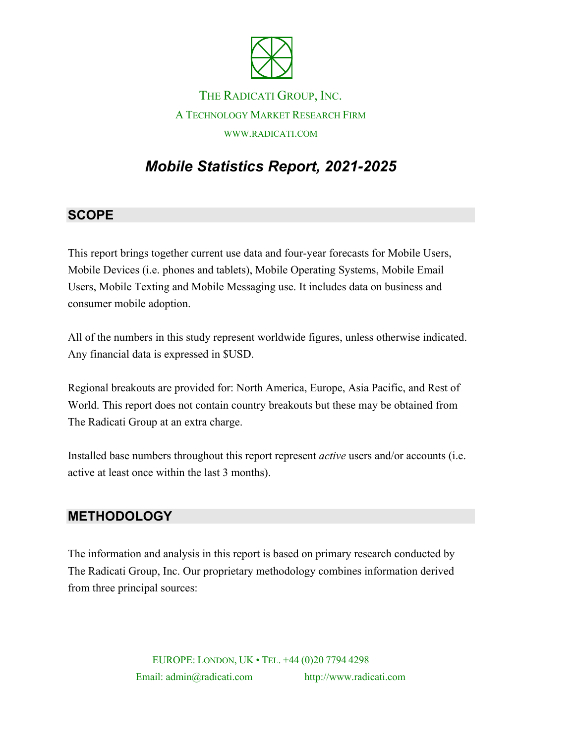

## THE RADICATI GROUP, INC. A TECHNOLOGY MARKET RESEARCH FIRM WWW.RADICATI.COM

# *Mobile Statistics Report, 2021-2025*

#### **SCOPE**

This report brings together current use data and four-year forecasts for Mobile Users, Mobile Devices (i.e. phones and tablets), Mobile Operating Systems, Mobile Email Users, Mobile Texting and Mobile Messaging use. It includes data on business and consumer mobile adoption.

All of the numbers in this study represent worldwide figures, unless otherwise indicated. Any financial data is expressed in \$USD.

Regional breakouts are provided for: North America, Europe, Asia Pacific, and Rest of World. This report does not contain country breakouts but these may be obtained from The Radicati Group at an extra charge.

Installed base numbers throughout this report represent *active* users and/or accounts (i.e. active at least once within the last 3 months).

#### **METHODOLOGY**

The information and analysis in this report is based on primary research conducted by The Radicati Group, Inc. Our proprietary methodology combines information derived from three principal sources:

> EUROPE: LONDON, UK • TEL. +44 (0)20 7794 4298 Email: admin@radicati.com http://www.radicati.com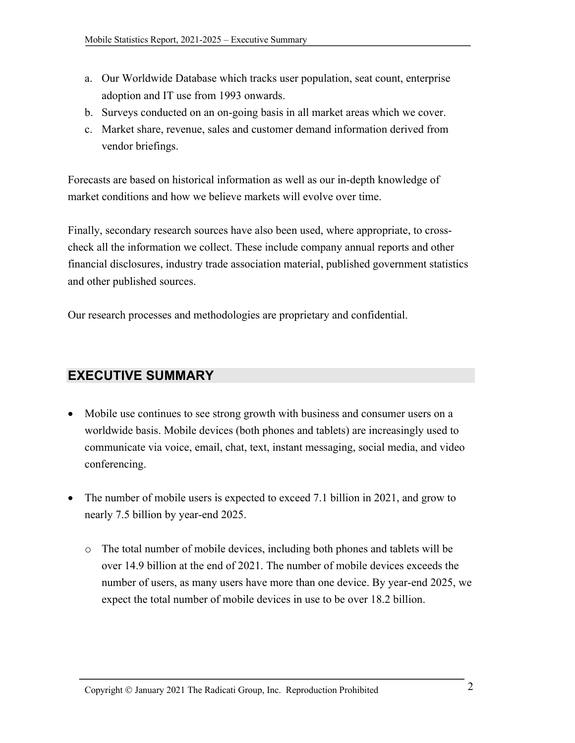- a. Our Worldwide Database which tracks user population, seat count, enterprise adoption and IT use from 1993 onwards.
- b. Surveys conducted on an on-going basis in all market areas which we cover.
- c. Market share, revenue, sales and customer demand information derived from vendor briefings.

Forecasts are based on historical information as well as our in-depth knowledge of market conditions and how we believe markets will evolve over time.

Finally, secondary research sources have also been used, where appropriate, to crosscheck all the information we collect. These include company annual reports and other financial disclosures, industry trade association material, published government statistics and other published sources.

Our research processes and methodologies are proprietary and confidential.

### **EXECUTIVE SUMMARY**

- Mobile use continues to see strong growth with business and consumer users on a worldwide basis. Mobile devices (both phones and tablets) are increasingly used to communicate via voice, email, chat, text, instant messaging, social media, and video conferencing.
- The number of mobile users is expected to exceed 7.1 billion in 2021, and grow to nearly 7.5 billion by year-end 2025.
	- o The total number of mobile devices, including both phones and tablets will be over 14.9 billion at the end of 2021. The number of mobile devices exceeds the number of users, as many users have more than one device. By year-end 2025, we expect the total number of mobile devices in use to be over 18.2 billion.